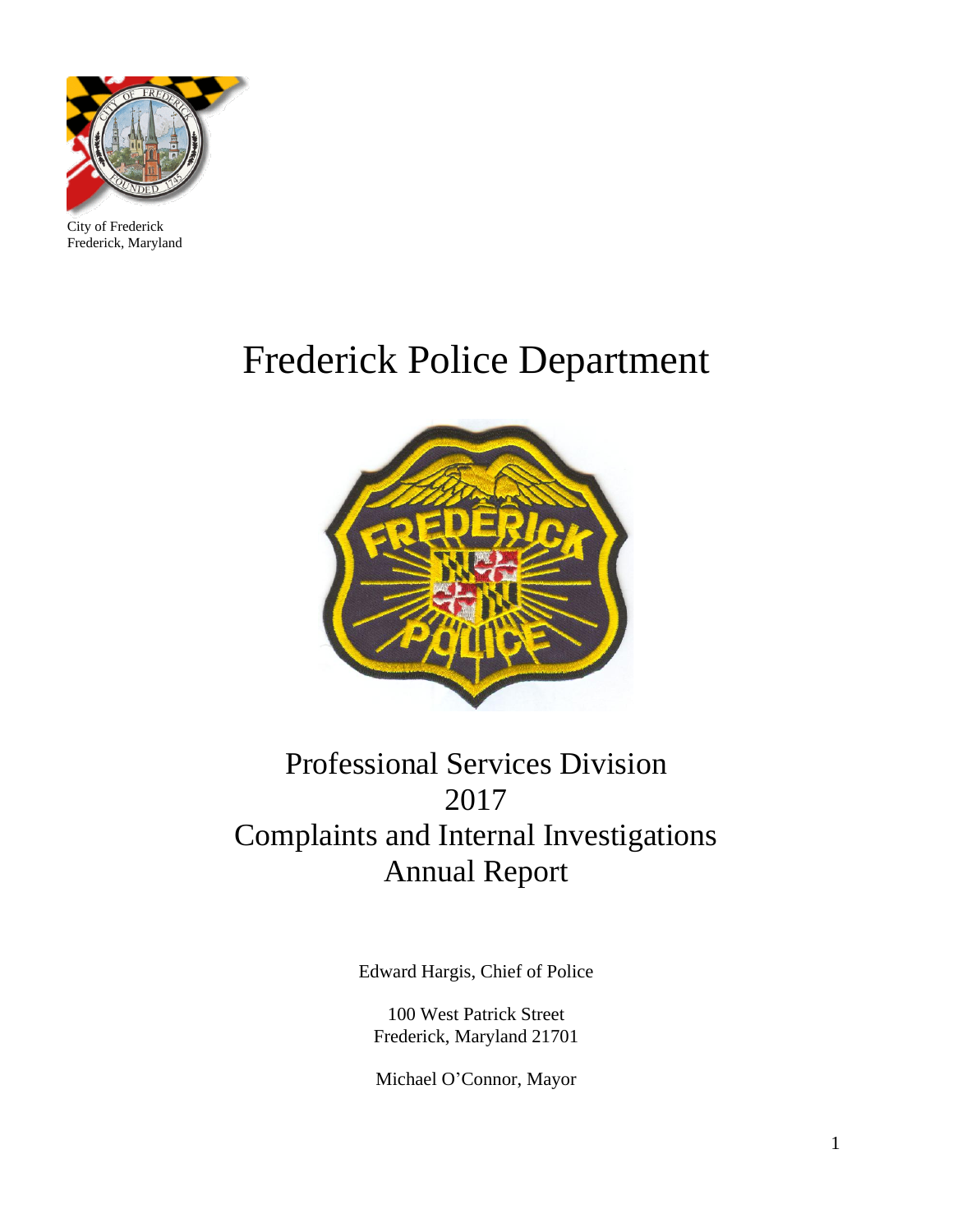

City of Frederick Frederick, Maryland

# Frederick Police Department



## Professional Services Division 2017 Complaints and Internal Investigations Annual Report

Edward Hargis, Chief of Police

100 West Patrick Street Frederick, Maryland 21701

Michael O'Connor, Mayor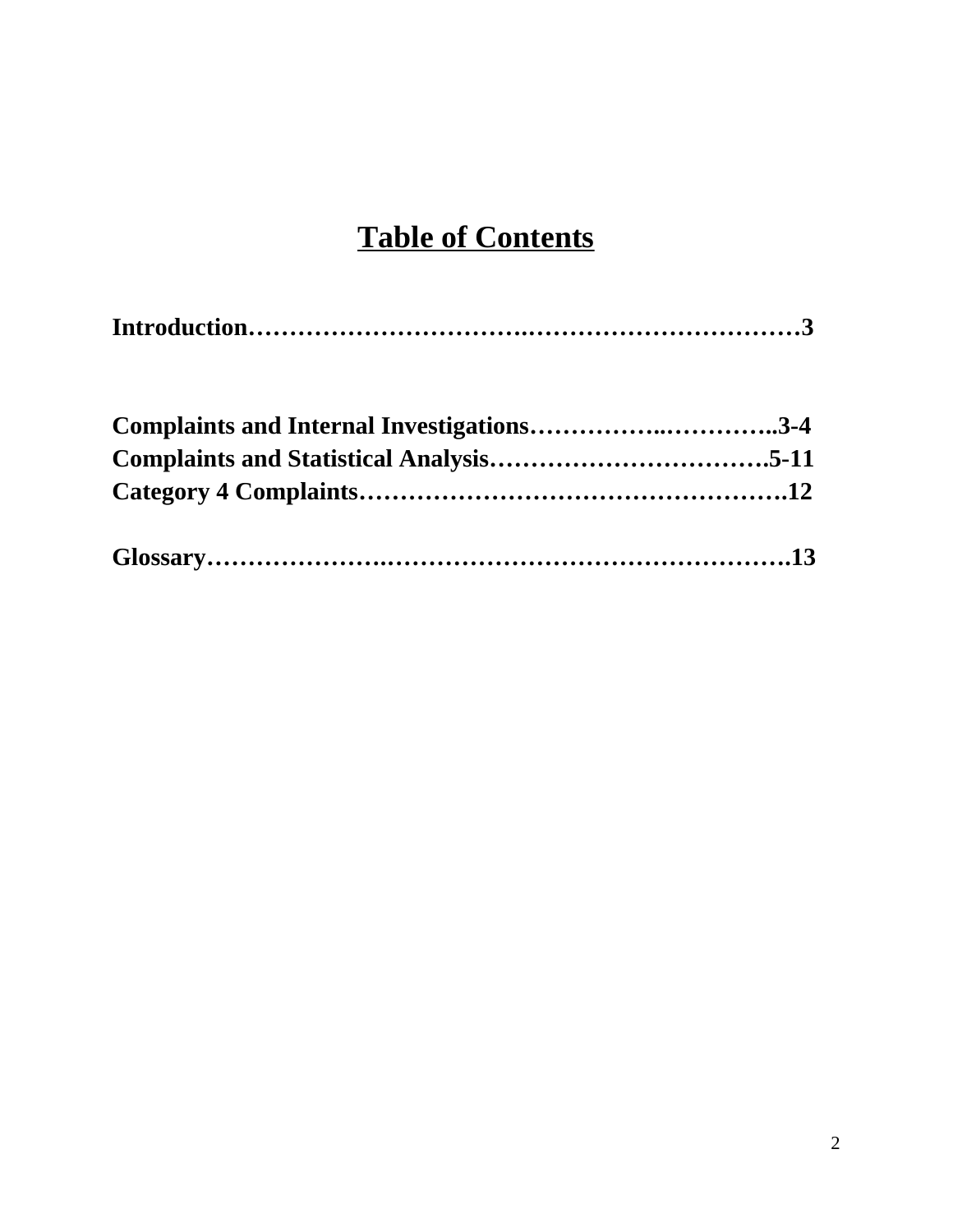### **Table of Contents**

|--|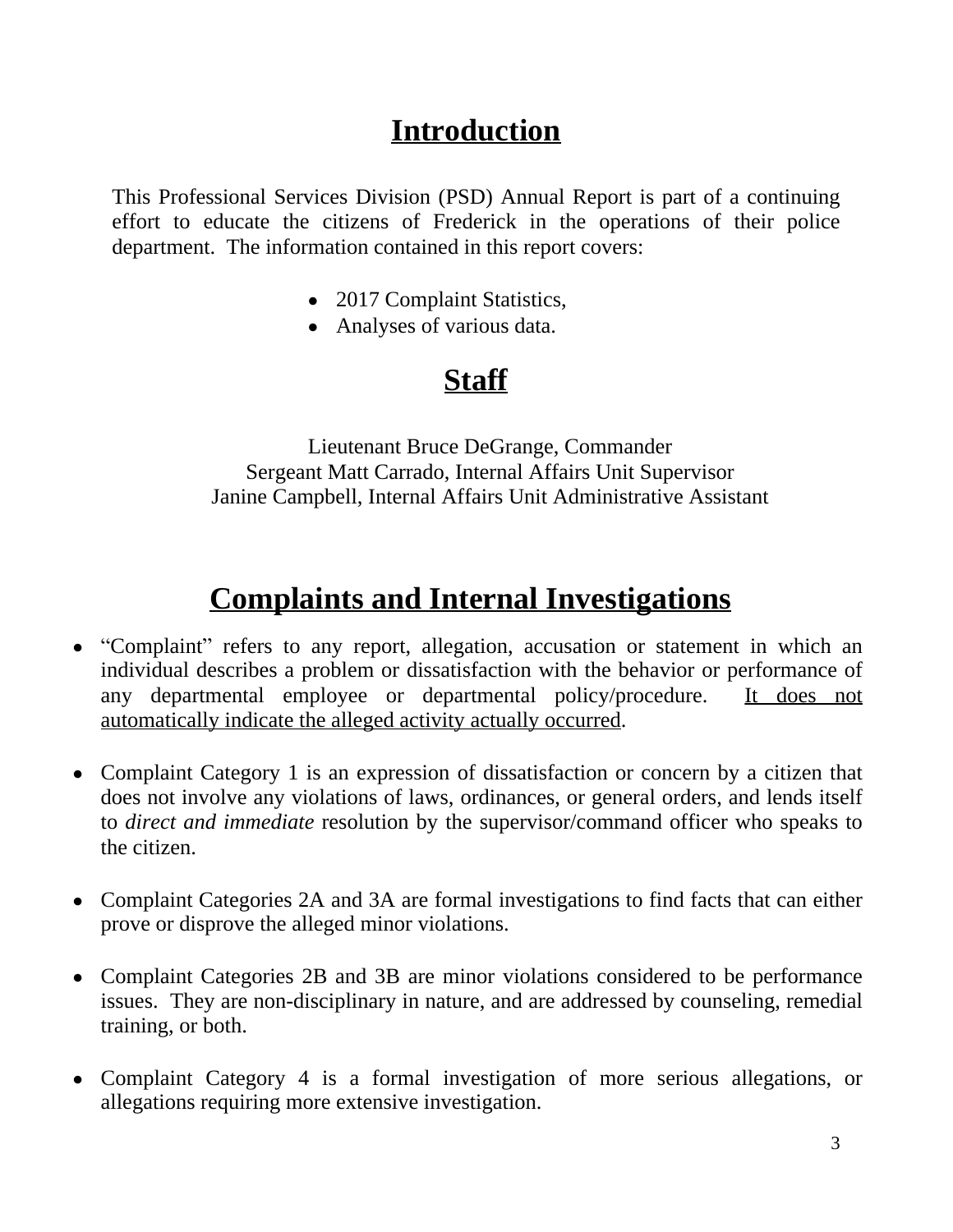#### **Introduction**

This Professional Services Division (PSD) Annual Report is part of a continuing effort to educate the citizens of Frederick in the operations of their police department. The information contained in this report covers:

- 2017 Complaint Statistics,
- Analyses of various data.

## **Staff**

Lieutenant Bruce DeGrange, Commander Sergeant Matt Carrado, Internal Affairs Unit Supervisor Janine Campbell, Internal Affairs Unit Administrative Assistant

## **Complaints and Internal Investigations**

- "Complaint" refers to any report, allegation, accusation or statement in which an individual describes a problem or dissatisfaction with the behavior or performance of any departmental employee or departmental policy/procedure. It does not automatically indicate the alleged activity actually occurred.
- Complaint Category 1 is an expression of dissatisfaction or concern by a citizen that does not involve any violations of laws, ordinances, or general orders, and lends itself to *direct and immediate* resolution by the supervisor/command officer who speaks to the citizen.
- Complaint Categories 2A and 3A are formal investigations to find facts that can either prove or disprove the alleged minor violations.
- Complaint Categories 2B and 3B are minor violations considered to be performance issues. They are non-disciplinary in nature, and are addressed by counseling, remedial training, or both.
- Complaint Category 4 is a formal investigation of more serious allegations, or allegations requiring more extensive investigation.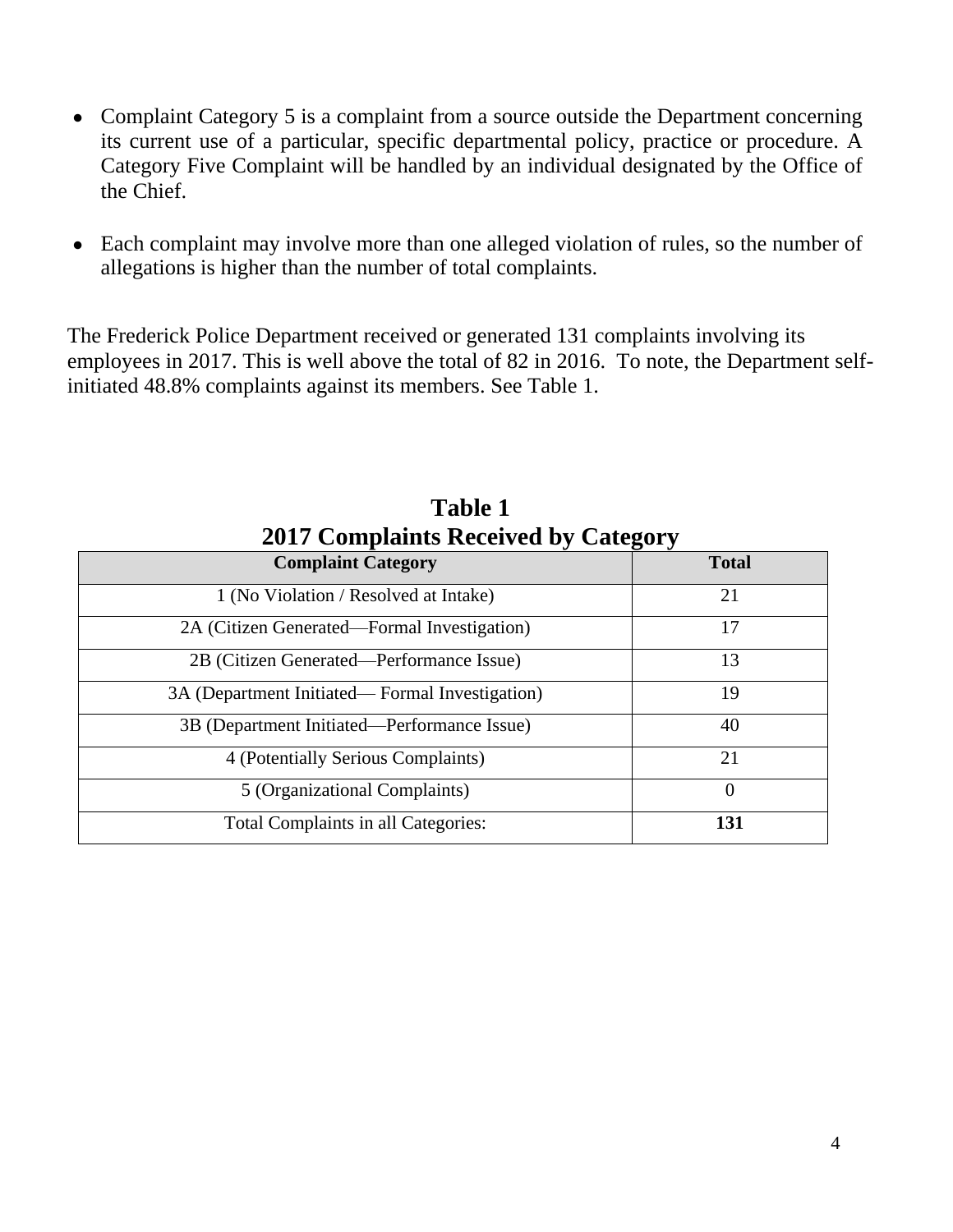- Complaint Category 5 is a complaint from a source outside the Department concerning its current use of a particular, specific departmental policy, practice or procedure. A Category Five Complaint will be handled by an individual designated by the Office of the Chief.
- Each complaint may involve more than one alleged violation of rules, so the number of allegations is higher than the number of total complaints.

The Frederick Police Department received or generated 131 complaints involving its employees in 2017. This is well above the total of 82 in 2016. To note, the Department selfinitiated 48.8% complaints against its members. See Table 1.

| <b>Complaint Category</b>                      | <b>Total</b> |
|------------------------------------------------|--------------|
| 1 (No Violation / Resolved at Intake)          | 21           |
| 2A (Citizen Generated—Formal Investigation)    | 17           |
| 2B (Citizen Generated—Performance Issue)       | 13           |
| 3A (Department Initiated—Formal Investigation) | 19           |
| 3B (Department Initiated—Performance Issue)    | 40           |
| 4 (Potentially Serious Complaints)             | 21           |
| 5 (Organizational Complaints)                  | $\theta$     |
| <b>Total Complaints in all Categories:</b>     | 131          |

**Table 1 2017 Complaints Received by Category**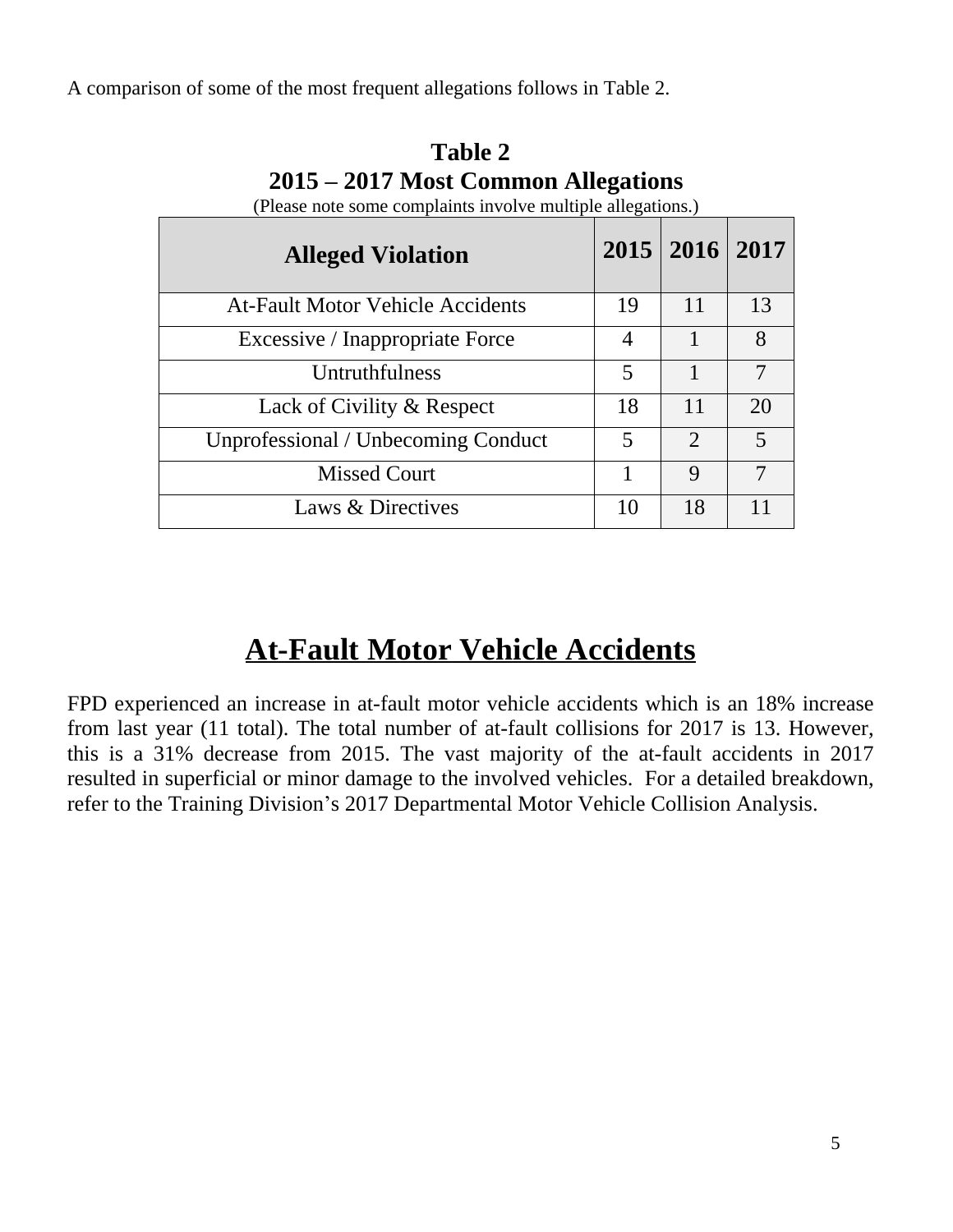A comparison of some of the most frequent allegations follows in Table 2.

| <b>Alleged Violation</b>                   |    | 2015   2016   2017          |                |
|--------------------------------------------|----|-----------------------------|----------------|
| <b>At-Fault Motor Vehicle Accidents</b>    | 19 | 11                          | 13             |
| Excessive / Inappropriate Force            | 4  |                             | 8              |
| Untruthfulness                             | 5  | $\mathbf{1}$                | $\overline{7}$ |
| Lack of Civility & Respect                 | 18 | 11                          | 20             |
| <b>Unprofessional / Unbecoming Conduct</b> | 5  | $\mathcal{D}_{\mathcal{L}}$ | 5              |
| <b>Missed Court</b>                        |    | 9                           | 7              |
| Laws & Directives                          | 10 | 18                          | 11             |

**Table 2 2015 – 2017 Most Common Allegations** (Please note some complaints involve multiple allegations.)

#### **At-Fault Motor Vehicle Accidents**

FPD experienced an increase in at-fault motor vehicle accidents which is an 18% increase from last year (11 total). The total number of at-fault collisions for 2017 is 13. However, this is a 31% decrease from 2015. The vast majority of the at-fault accidents in 2017 resulted in superficial or minor damage to the involved vehicles. For a detailed breakdown, refer to the Training Division's 2017 Departmental Motor Vehicle Collision Analysis.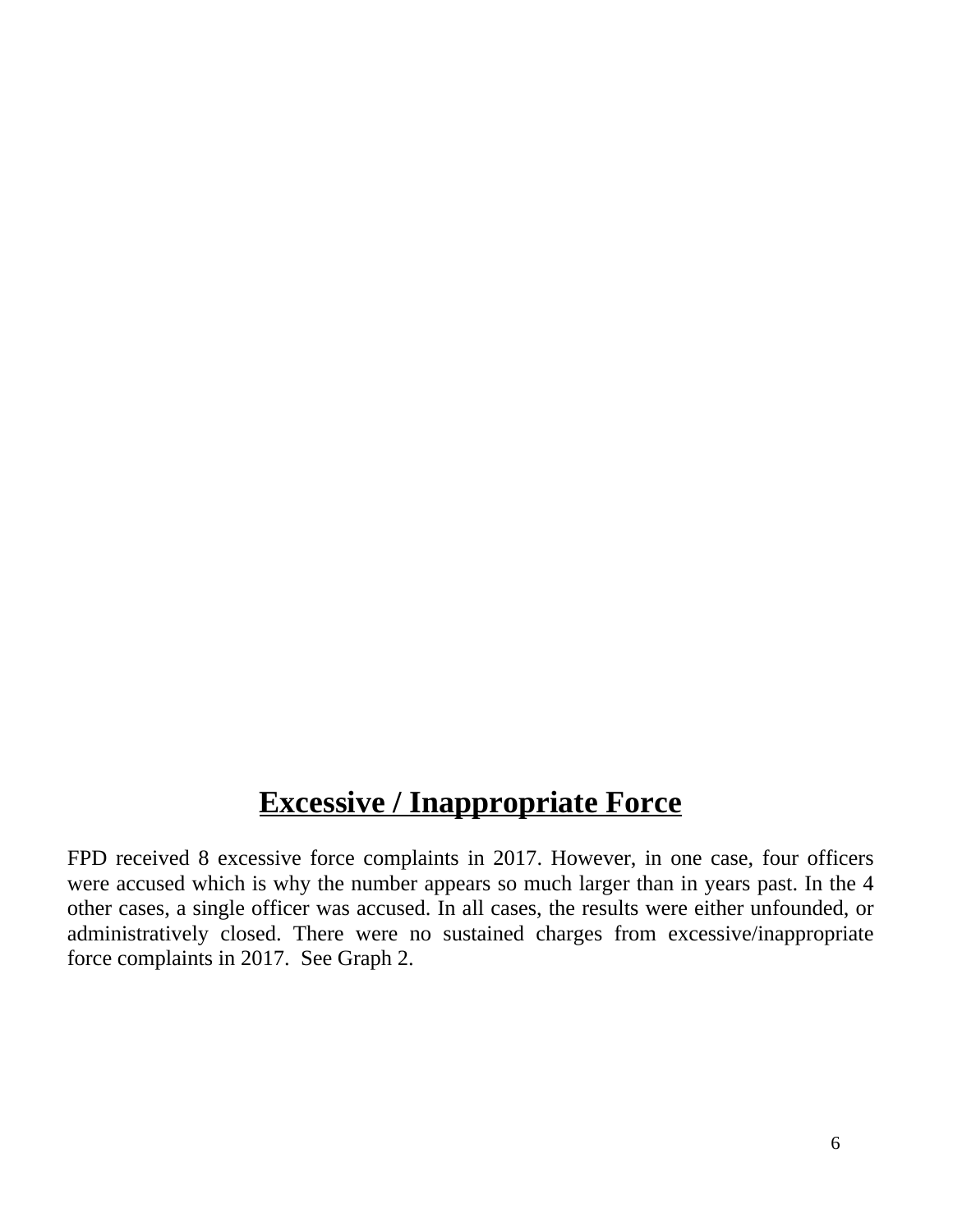#### **Excessive / Inappropriate Force**

FPD received 8 excessive force complaints in 2017. However, in one case, four officers were accused which is why the number appears so much larger than in years past. In the 4 other cases, a single officer was accused. In all cases, the results were either unfounded, or administratively closed. There were no sustained charges from excessive/inappropriate force complaints in 2017. See Graph 2.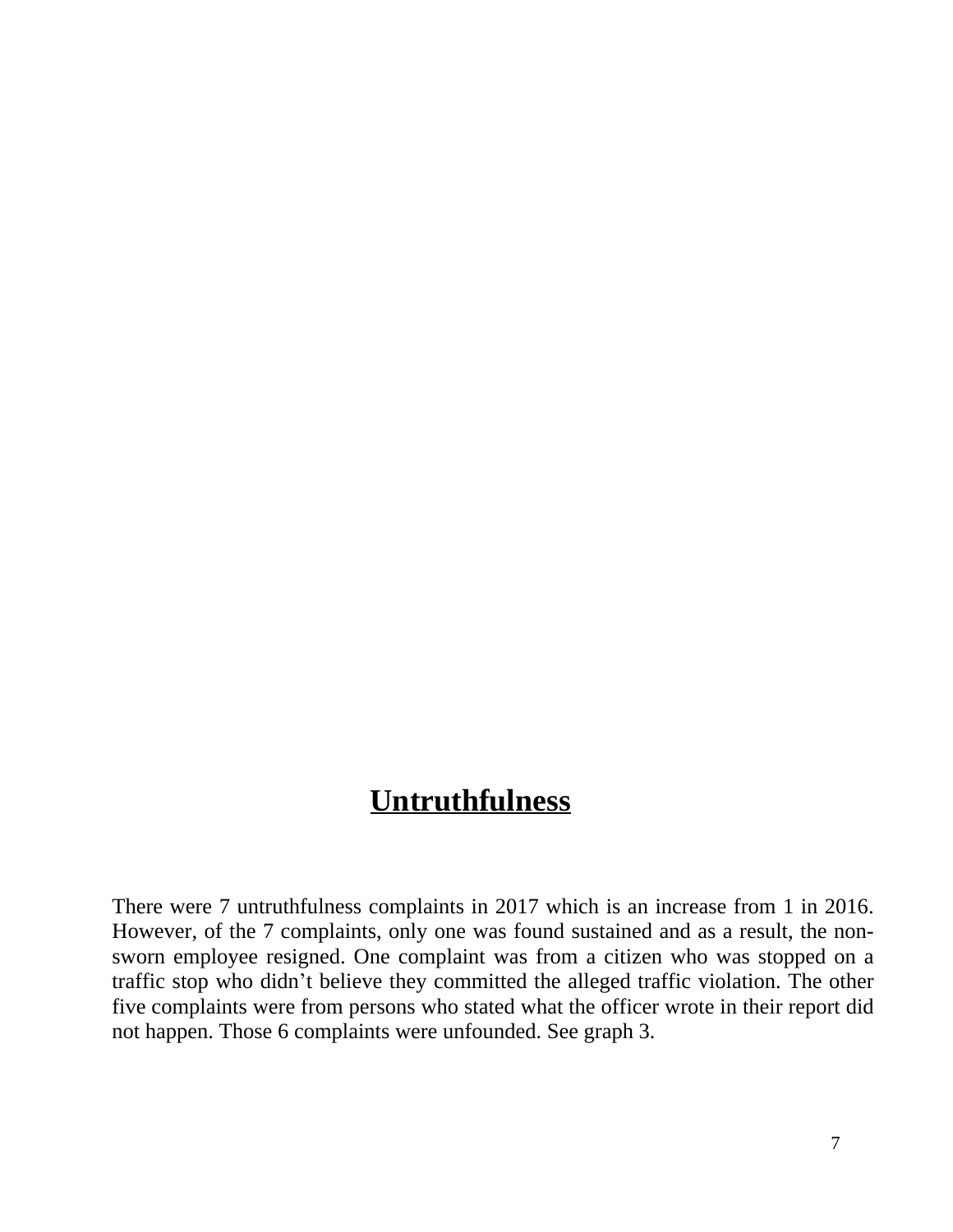#### **Untruthfulness**

There were 7 untruthfulness complaints in 2017 which is an increase from 1 in 2016. However, of the 7 complaints, only one was found sustained and as a result, the nonsworn employee resigned. One complaint was from a citizen who was stopped on a traffic stop who didn't believe they committed the alleged traffic violation. The other five complaints were from persons who stated what the officer wrote in their report did not happen. Those 6 complaints were unfounded. See graph 3.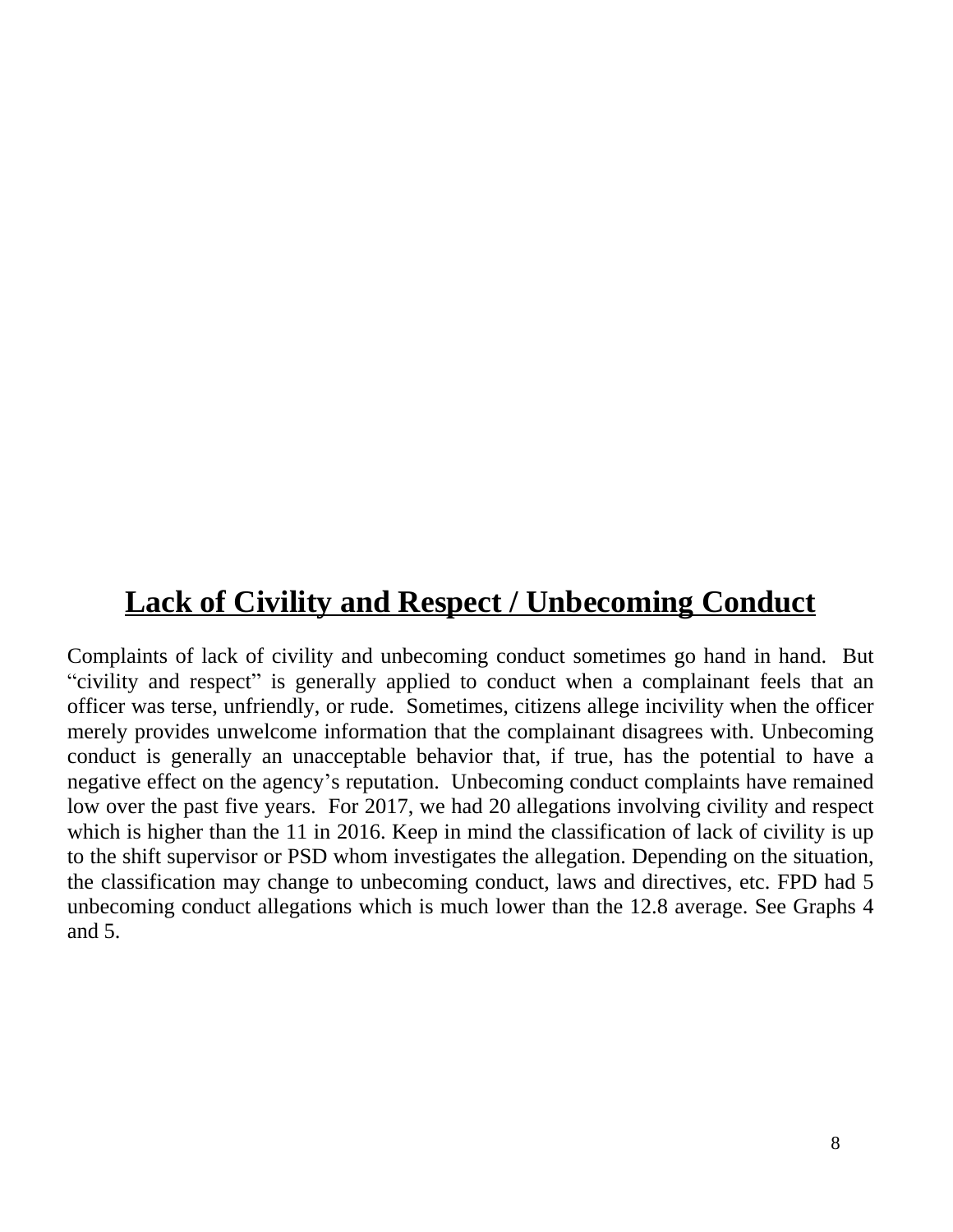#### **Lack of Civility and Respect / Unbecoming Conduct**

Complaints of lack of civility and unbecoming conduct sometimes go hand in hand. But "civility and respect" is generally applied to conduct when a complainant feels that an officer was terse, unfriendly, or rude. Sometimes, citizens allege incivility when the officer merely provides unwelcome information that the complainant disagrees with. Unbecoming conduct is generally an unacceptable behavior that, if true, has the potential to have a negative effect on the agency's reputation. Unbecoming conduct complaints have remained low over the past five years. For 2017, we had 20 allegations involving civility and respect which is higher than the 11 in 2016. Keep in mind the classification of lack of civility is up to the shift supervisor or PSD whom investigates the allegation. Depending on the situation, the classification may change to unbecoming conduct, laws and directives, etc. FPD had 5 unbecoming conduct allegations which is much lower than the 12.8 average. See Graphs 4 and 5.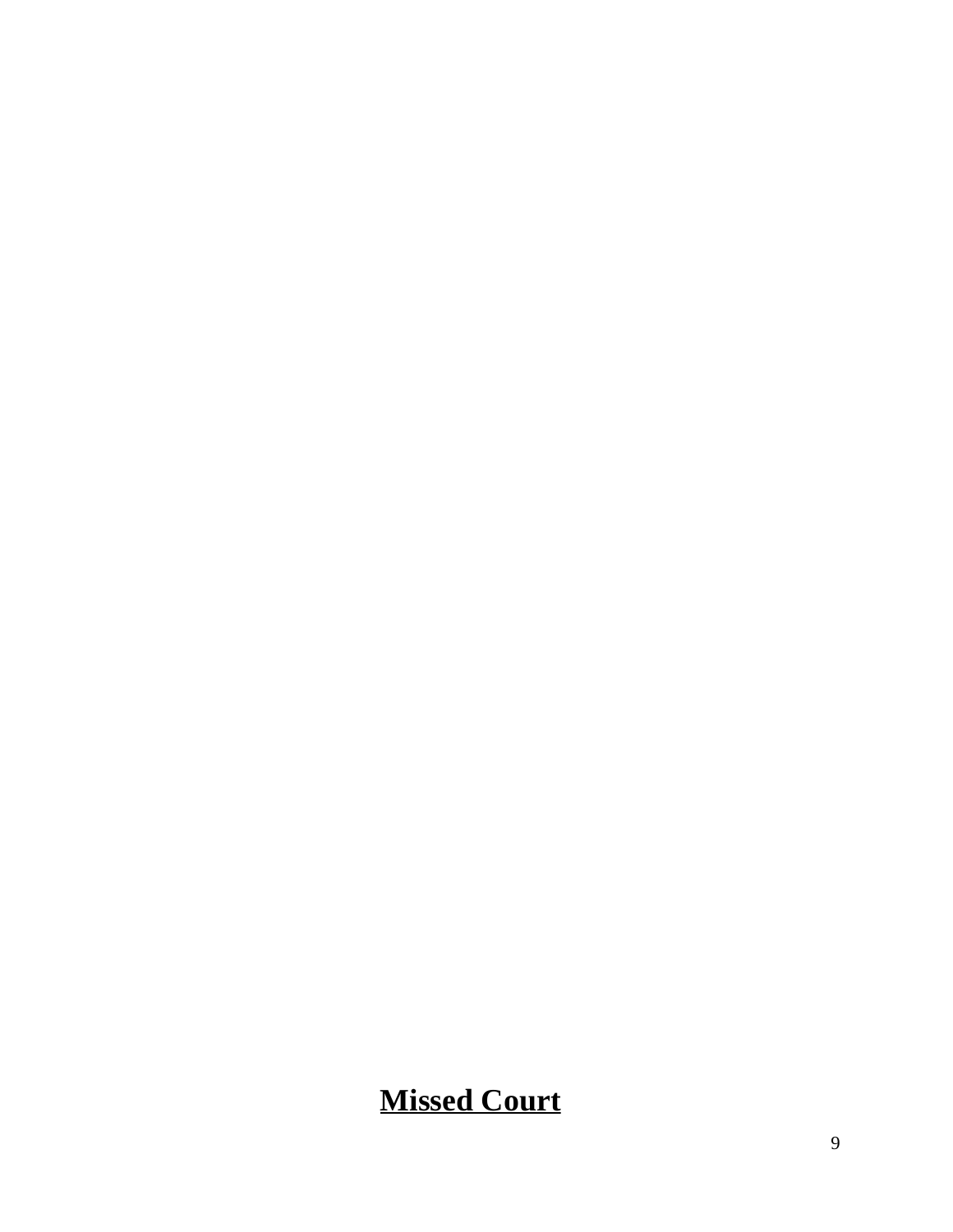### **Missed Court**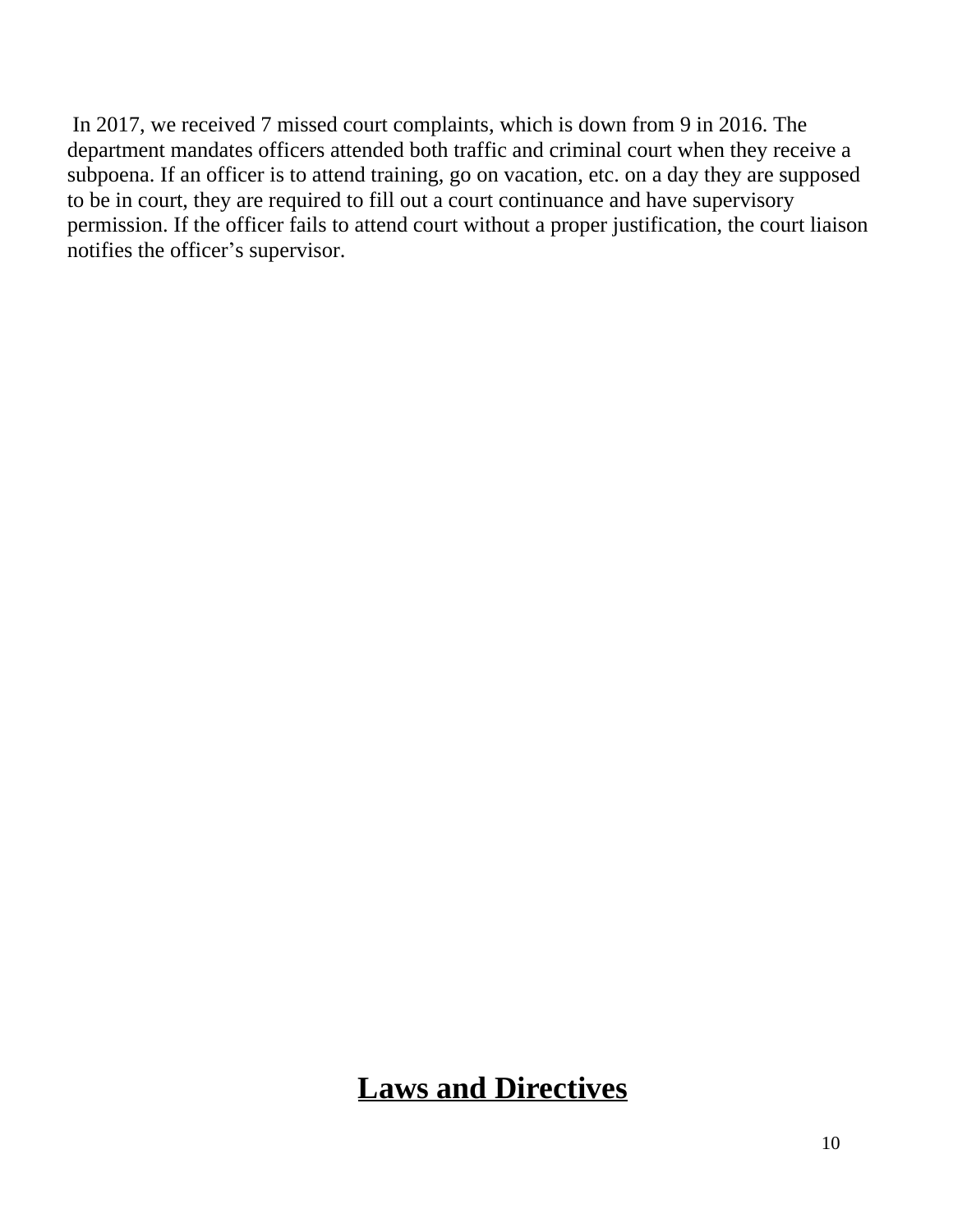In 2017, we received 7 missed court complaints, which is down from 9 in 2016. The department mandates officers attended both traffic and criminal court when they receive a subpoena. If an officer is to attend training, go on vacation, etc. on a day they are supposed to be in court, they are required to fill out a court continuance and have supervisory permission. If the officer fails to attend court without a proper justification, the court liaison notifies the officer's supervisor.

#### **Laws and Directives**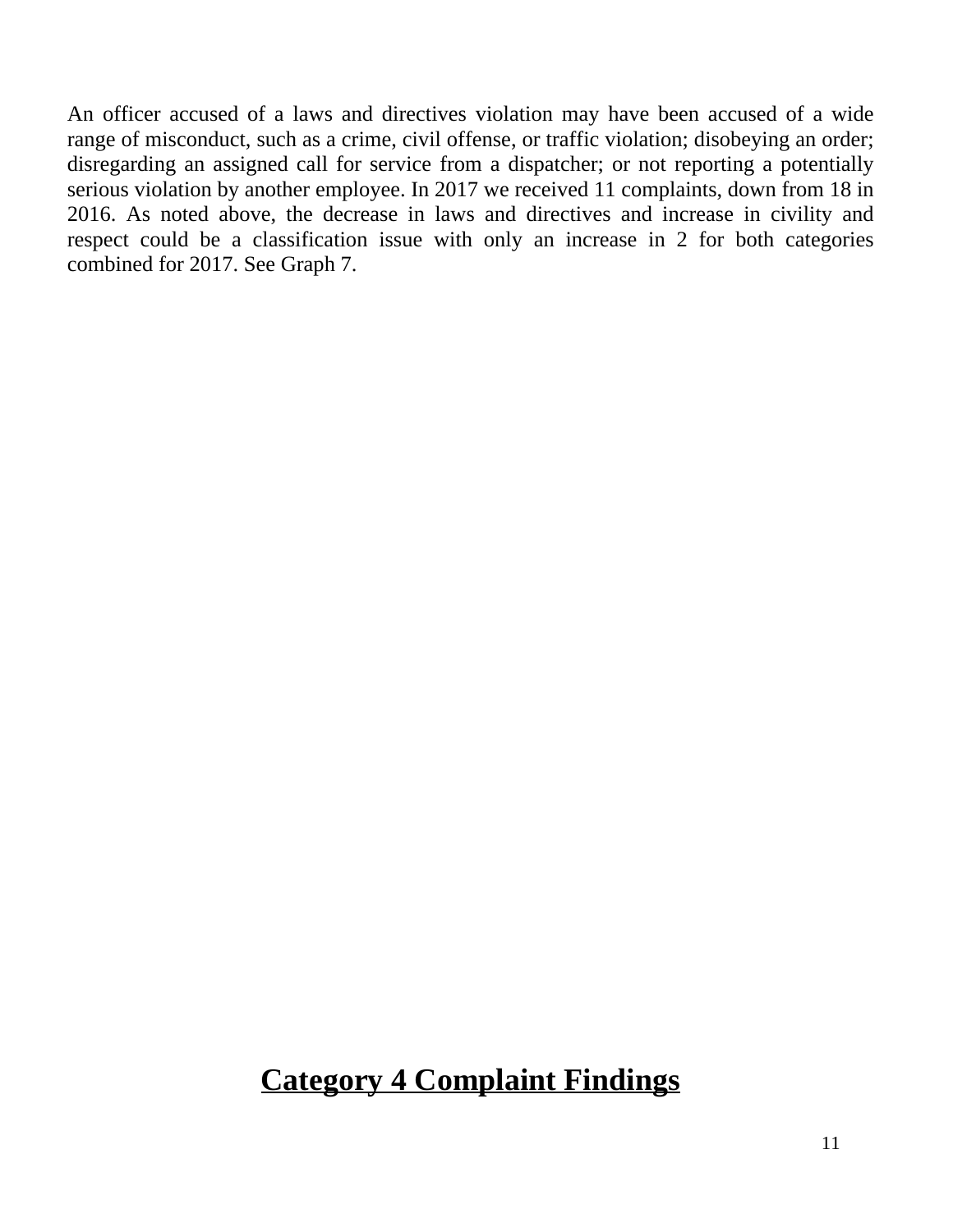An officer accused of a laws and directives violation may have been accused of a wide range of misconduct, such as a crime, civil offense, or traffic violation; disobeying an order; disregarding an assigned call for service from a dispatcher; or not reporting a potentially serious violation by another employee. In 2017 we received 11 complaints, down from 18 in 2016. As noted above, the decrease in laws and directives and increase in civility and respect could be a classification issue with only an increase in 2 for both categories combined for 2017. See Graph 7.

#### **Category 4 Complaint Findings**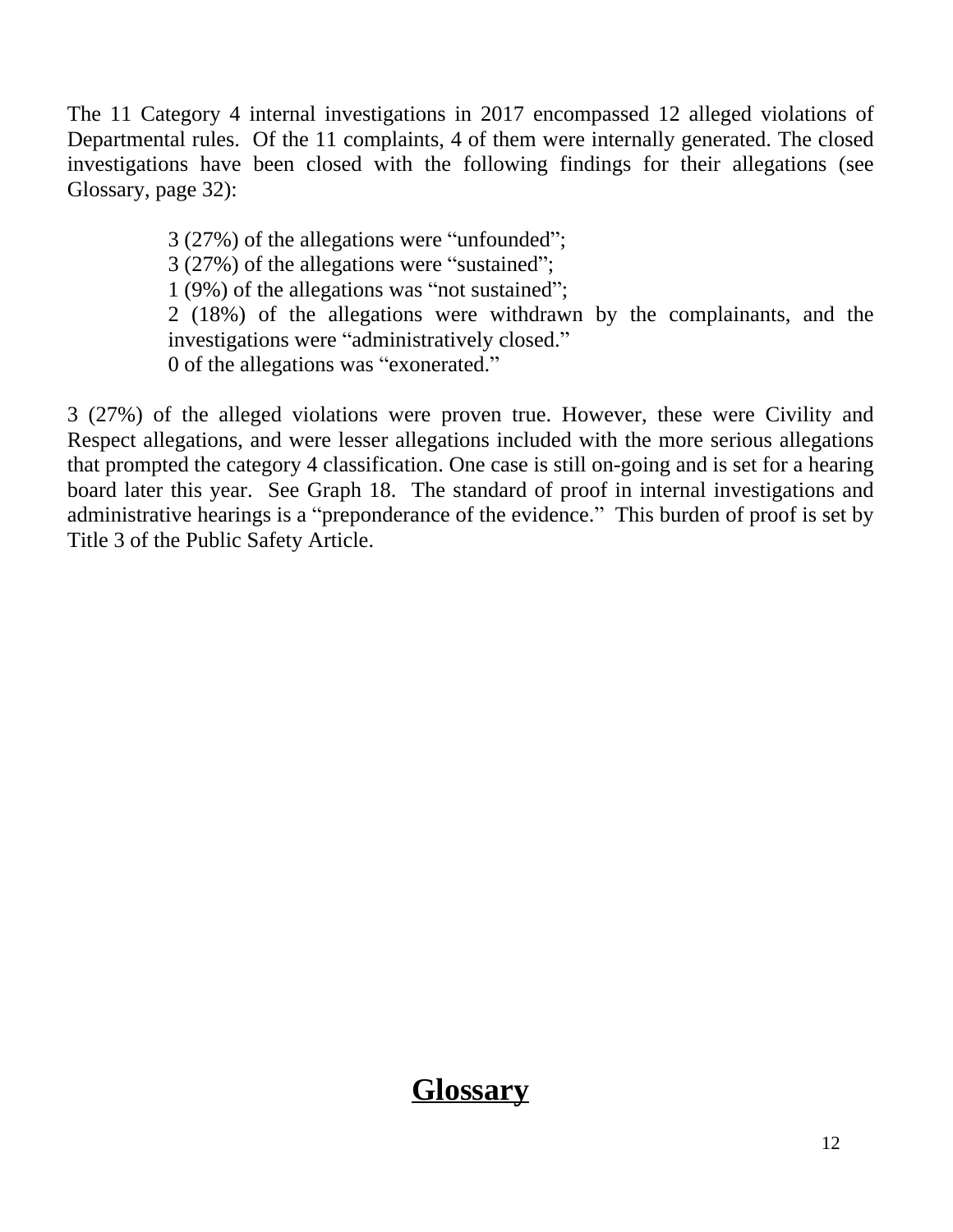The 11 Category 4 internal investigations in 2017 encompassed 12 alleged violations of Departmental rules. Of the 11 complaints, 4 of them were internally generated. The closed investigations have been closed with the following findings for their allegations (see Glossary, page 32):

> 3 (27%) of the allegations were "unfounded"; 3 (27%) of the allegations were "sustained"; 1 (9%) of the allegations was "not sustained"; 2 (18%) of the allegations were withdrawn by the complainants, and the investigations were "administratively closed." 0 of the allegations was "exonerated."

3 (27%) of the alleged violations were proven true. However, these were Civility and Respect allegations, and were lesser allegations included with the more serious allegations that prompted the category 4 classification. One case is still on-going and is set for a hearing board later this year. See Graph 18. The standard of proof in internal investigations and administrative hearings is a "preponderance of the evidence." This burden of proof is set by Title 3 of the Public Safety Article.

#### **Glossary**